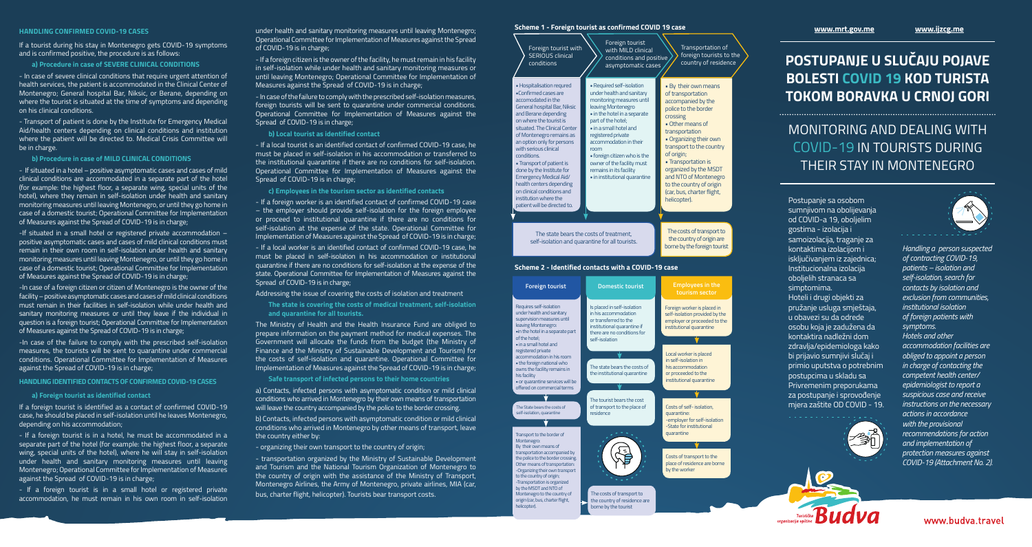# **POSTUPANJE U SLUČAJU POJAVE BOLESTI COVID 19 KOD TURISTA TOKOM BORAVKA U CRNOJ GORI**

INITORING AND DEALING WITH VID-19 IN TOURISTS DURING THEIR STAY IN MONTENEGRO

panje sa osobom jivom na obolijevanja VID-a 19, oboljelim na - izolacija i izolacija, traganje za ktima izolacijom i ivanjem iz zajednica; Icionalna izolacija lih stranaca sa omima.

i drugi objekti za nje usluga smještaja, vezi su da odrede ı koja je zadužena da ktira nadležni dom lja/epidemiologa kako avio sumnjivi slučaj i p uputstva o potrebnim pcima u skladu sa menim preporukama stupanie i sprovođenie mjera zaštite OD COVID - 19.







*Handling a person suspected of contracting COVID-19, patients – isolation and self-isolation, search for contacts by isolation and exclusion from communities, institutional isolation of foreign patients with symptoms. Hotels and other accommodation facilities are obliged to appoint a person in charge of contacting the competent health center/ epidemiologist to report a suspicious case and receive instructions on the necessary actions in accordance with the provisional recommendations for action and implementation of protection measures against COVID-19 (Attachment No. 2).*

www.budva.travel

### **HANDLING CONFIRMED COVID-19 CASES**

If a tourist during his stay in Montenegro gets COVID-19 symptoms and is confirmed positive, the procedure is as follows:

#### **a) Procedure in case of SEVERE CLINICAL CONDITIONS**

- In case of severe clinical conditions that require urgent attention of health services, the patient is accommodated in the Clinical Center of Montenegro; General hospital Bar, Niksic, or Berane, depending on where the tourist is situated at the time of symptoms and depending on his clinical conditions.

- Transport of patient is done by the Institute for Emergency Medical Aid/health centers depending on clinical conditions and institution where the patient will be directed to. Medical Crisis Committee will be in charge.

#### **b) Procedure in case of MILD CLINICAL CONDITIONS**

- If situated in a hotel – positive asymptomatic cases and cases of mild clinical conditions are accommodated in a separate part of the hotel (for example: the highest floor, a separate wing, special units of the hotel), where they remain in self-isolation under health and sanitary monitoring measures until leaving Montenegro, or until they go home in case of a domestic tourist; Operational Committee for Implementation of Measures against the Spread of COVID-19 is in charge;

-If situated in a small hotel or registered private accommodation – positive asymptomatic cases and cases of mild clinical conditions must remain in their own room in self-isolation under health and sanitary monitoring measures until leaving Montenegro, or until they go home in case of a domestic tourist; Operational Committee for Implementation of Measures against the Spread of COVID-19 is in charge;

-In case of a foreign citizen or citizen of Montenegro is the owner of the facility – positive asymptomatic cases and cases of mild clinical conditions must remain in their facilities in self-isolation while under health and sanitary monitoring measures or until they leave if the individual in question is a foreign tourist; Operational Committee for Implementation of Measures against the Spread of COVID-19 is in charge;

> a) Contacts, infected persons with asymptomatic condition or mild clinical conditions who arrived in Montenegro by their own means of transportation will leave the country accompanied by the police to the border crossing.

-In case of the failure to comply with the prescribed self-isolation measures, the tourists will be sent to quarantine under commercial conditions. Operational Committee for Implementation of Measures against the Spread of COVID-19 is in charge;

#### **HANDLING IDENTIFIED CONTACTS OF CONFIRMED COVID-19 CASES**

### **a) Foreign tourist as identified contact**

If a foreign tourist is identified as a contact of confirmed COVID-19 case, he should be placed in self-isolation until he leaves Montenegro, depending on his accommodation;

- If a foreign tourist is in a hotel, he must be accommodated in a separate part of the hotel (for example: the highest floor, a separate wing, special units of the hotel), where he will stay in self-isolation under health and sanitary monitoring measures until leaving Montenegro; Operational Committee for Implementation of Measures against the Spread of COVID-19 is in charge;

- If a foreign tourist is in a small hotel or registered private accommodation, he must remain in his own room in self-isolation under health and sanitary monitoring measures until leaving Montenegro; Operational Committee for Implementation of Measures against the Spread of COVID-19 is in charge;

- If a foreign citizen is the owner of the facility, he must remain in his facility in self-isolation while under health and sanitary monitoring measures or until leaving Montenegro; Operational Committee for Implementation of Measures against the Spread of COVID-19 is in charge;

- In case of the failure to comply with the prescribed self-isolation measures, foreign tourists will be sent to quarantine under commercial conditions. Operational Committee for Implementation of Measures against the Spread of COVID-19 is in charge;

### **b) Local tourist as identified contact**

- If a local tourist is an identified contact of confirmed COVID-19 case, he must be placed in self-isolation in his accommodation or transferred to the institutional quarantine if there are no conditions for self-isolation. Operational Committee for Implementation of Measures against the Spread of COVID-19 is in charge;

# **c) Employees in the tourism sector as identified contacts**

- If a foreign worker is an identified contact of confirmed COVID-19 case – the employer should provide self-isolation for the foreign employee or proceed to institutional quarantine if there are no conditions for self-isolation at the expense of the state. Operational Committee for Implementation of Measures against the Spread of COVID-19 is in charge;

- If a local worker is an identified contact of confirmed COVID-19 case, he must be placed in self-isolation in his accommodation or institutional quarantine if there are no conditions for self-isolation at the expense of the state. Operational Committee for Implementation of Measures against the Spread of COVID-19 is in charge;

#### Addressing the issue of covering the costs of isolation and treatment

**The state is covering the costs of medical treatment, self-isolation and quarantine for all tourists.**

The Ministry of Health and the Health Insurance Fund are obliged to prepare information on the payment method for medical expenses. The Government will allocate the funds from the budget (the Ministry of Finance and the Ministry of Sustainable Development and Tourism) for the costs of self-isolation and quarantine. Operational Committee for Implementation of Measures against the Spread of COVID-19 is in charge;

## **Safe transport of infected persons to their home countries**

b) Contacts, infected persons with asymptomatic condition or mild clinical conditions who arrived in Montenegro by other means of transport, leave the country either by:

- organizing their own transport to the country of origin;

- transportation organized by the Ministry of Sustainable Development and Tourism and the National Tourism Organization of Montenegro to the country of origin with the assistance of the Ministry of Transport, Montenegro Airlines, the Army of Montenegro, private airlines, MIA (car, bus, charter flight, helicopter). Tourists bear transport costs.

| Foreign tourist with<br><b>SERIOUS clinical</b><br>conditions                                                                                                                                                                                                               | Foreign tourist<br>with MILD clinical<br>conditions and positive<br>asymptomatic cases                                                                       | Transportation of<br>foreign tourists to the<br>country of residence                                                      | PO <sub>S</sub><br><b>BOI</b>             |
|-----------------------------------------------------------------------------------------------------------------------------------------------------------------------------------------------------------------------------------------------------------------------------|--------------------------------------------------------------------------------------------------------------------------------------------------------------|---------------------------------------------------------------------------------------------------------------------------|-------------------------------------------|
| • Hospitalisation requred<br>. Confirmed cases are<br>accomodated in the<br>General hospital Bar, Niksic<br>and Berane depending                                                                                                                                            | • Required self-isolation<br>under health and sanitary<br>monitoring measures until<br>leaving Montenegro<br>. in the hotel in a separate                    | . By their own means<br>of transportation<br>accompanied by the<br>police to the border                                   | TOI                                       |
| on where the tourist is<br>situated. The Clinical Center<br>of Montenegro remains as<br>an option only for persons<br>with serious clinical                                                                                                                                 | part of the hotel;<br>. in a small hotel and<br>registered private<br>accommodation in their<br>room                                                         | crossing<br><b>Other means of</b><br>transportation<br>• Organizing their own<br>transport to the country                 | MC                                        |
| conditions.<br>• Transport of patient is<br>done by the Institute for<br><b>Emergency Medical Aid/</b><br>health centers depending                                                                                                                                          | · foreign citizen who is the<br>owner of the facility must<br>remains in its facility<br>· in institutional quarantine                                       | of origin;<br>• Transportation is<br>organized by the MSDT<br>and NTO of Montenegro<br>to the country of origin           |                                           |
| on clinical conditions and<br>institution where the<br>patient will be directed to.                                                                                                                                                                                         |                                                                                                                                                              | (car, bus, charter flight,<br>helicopter).                                                                                | Postu<br>sumn<br>od CC                    |
|                                                                                                                                                                                                                                                                             | The state bears the costs of treatment,<br>self-isolation and quarantine for all tourists.                                                                   | The costs of transport to<br>the country of origin are<br>borne by the foreign tourist                                    | gostir<br>samo<br>konta                   |
|                                                                                                                                                                                                                                                                             | Scheme 2 - Identified contacts with a COVID-19 case                                                                                                          |                                                                                                                           | isklju<br>Instit<br>obolje                |
| <b>Foreign tourist</b>                                                                                                                                                                                                                                                      | <b>Domestic tourist</b>                                                                                                                                      | <b>Employees in the</b><br>tourism sector                                                                                 | simpt<br>Hotel                            |
| Requires self-isolation<br>under health and sanitary<br>supervision measures until<br>leaving Montenegro:<br>.in the hotel in a separate part<br>of the hotel;<br>. in a small hotel and                                                                                    | Is placed in self-isolation<br>in his accommodation<br>or transferred to the<br>institutional quarantine if<br>there are no conditions for<br>self-isolation | Foreign worker is placed in<br>self-isolation provided by the<br>employer or proceeded to the<br>institutional quarantine | pruža<br>u oba<br>osobu<br>konta<br>zdrav |
| registered private<br>accommodation in his room<br>. the foreign national who<br>owns the facility remains in<br>his facility<br>· or quarantine services will be                                                                                                           | The state bears the costs of<br>the institutional quarantine                                                                                                 | Local worker is placed<br>in self-isolation in<br>his accommodation<br>or proceeded to the<br>institutional quarantine    | bi prij<br>primi<br>postu<br>Privre       |
| offered on commercial terms<br>The State bears the costs of                                                                                                                                                                                                                 | The tourist bears the cost<br>of transport to the place of                                                                                                   | Costs of self-isolation,                                                                                                  | za po:<br>mjera                           |
| self-isolation, quarantine                                                                                                                                                                                                                                                  | residence                                                                                                                                                    | quarantine:<br>-employer for self-isolation<br>-State for institutional                                                   |                                           |
| Transport to the border of<br>Montenegro:<br>By their own means of<br>transportation accompanied by<br>the police to the border crossing.<br>Other means of transportation:<br>-Organizing their own transport<br>to the country of origin;<br>-Transportation is organized |                                                                                                                                                              | quarantine<br>Costs of transport to the<br>place of residence are borne<br>by the worker                                  |                                           |
| by the MSDT and NTO of<br>Montenegro to the country of<br>origin (car, bus, charter flight,<br>helicopter).                                                                                                                                                                 | The costs of transport to<br>the country of residence are<br>borne by the tourist                                                                            |                                                                                                                           |                                           |

# **Scheme 1 - Foreign tourist as confirmed COVID 19 case www.mrt.gov.me www.ijzcg.me**